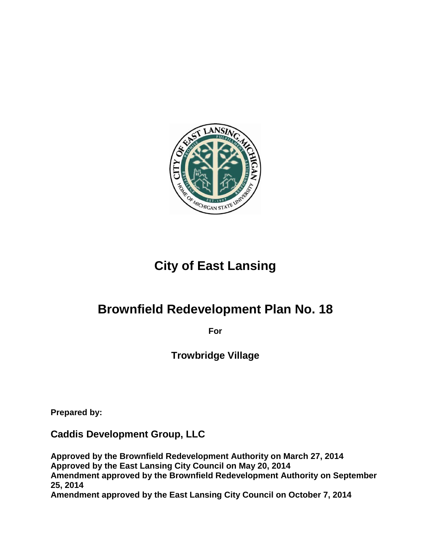

# **City of East Lansing**

# **Brownfield Redevelopment Plan No. 18**

**For**

**Trowbridge Village**

**Prepared by:**

**Caddis Development Group, LLC**

**Approved by the Brownfield Redevelopment Authority on March 27, 2014 Approved by the East Lansing City Council on May 20, 2014 Amendment approved by the Brownfield Redevelopment Authority on September 25, 2014 Amendment approved by the East Lansing City Council on October 7, 2014**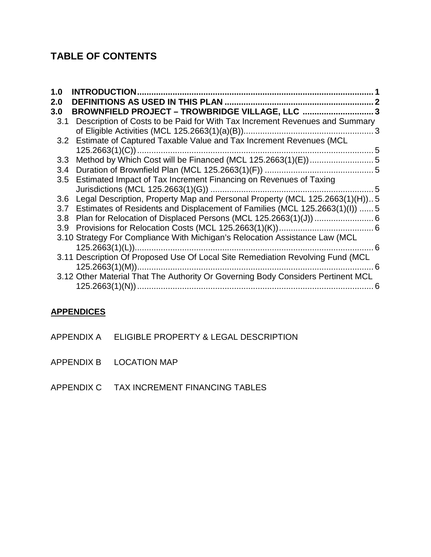## **TABLE OF CONTENTS**

| 1.0              | <b>INTRODUCTION</b>                                                              |   |
|------------------|----------------------------------------------------------------------------------|---|
| 2.0              |                                                                                  |   |
| 3.0              | BROWNFIELD PROJECT - TROWBRIDGE VILLAGE, LLC  3                                  |   |
| 3.1              | Description of Costs to be Paid for With Tax Increment Revenues and Summary      |   |
|                  |                                                                                  |   |
| 3.2              | Estimate of Captured Taxable Value and Tax Increment Revenues (MCL               |   |
|                  |                                                                                  |   |
| 3.3 <sub>2</sub> | Method by Which Cost will be Financed (MCL 125.2663(1)(E))5                      |   |
| 3.4              |                                                                                  |   |
| 3.5              | Estimated Impact of Tax Increment Financing on Revenues of Taxing                |   |
|                  |                                                                                  |   |
| 3.6              | Legal Description, Property Map and Personal Property (MCL 125.2663(1)(H))5      |   |
| 3.7              | Estimates of Residents and Displacement of Families (MCL 125.2663(1)(I))  5      |   |
| 3.8              |                                                                                  |   |
| 3.9 <sub>2</sub> |                                                                                  |   |
|                  | 3.10 Strategy For Compliance With Michigan's Relocation Assistance Law (MCL      |   |
|                  | . 6                                                                              |   |
|                  | 3.11 Description Of Proposed Use Of Local Site Remediation Revolving Fund (MCL   |   |
|                  | 6                                                                                |   |
|                  | 3.12 Other Material That The Authority Or Governing Body Considers Pertinent MCL |   |
|                  |                                                                                  | 6 |

### **APPENDICES**

- APPENDIX A ELIGIBLE PROPERTY & LEGAL DESCRIPTION
- APPENDIX B LOCATION MAP
- APPENDIX C TAX INCREMENT FINANCING TABLES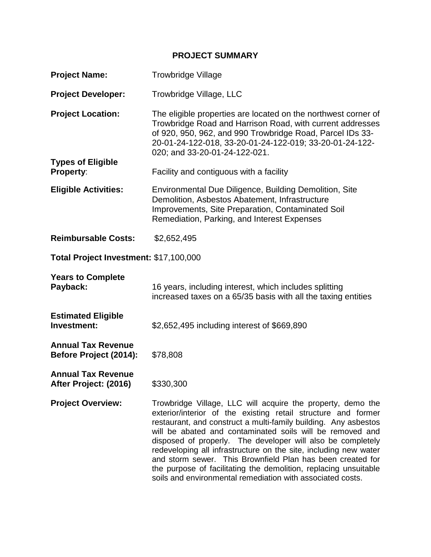#### **PROJECT SUMMARY**

| <b>Project Name:</b>                                | <b>Trowbridge Village</b>                                                                                                                                                                                                                                                                                                                                                                                                                                                                                                                                                                       |  |  |  |  |  |  |  |
|-----------------------------------------------------|-------------------------------------------------------------------------------------------------------------------------------------------------------------------------------------------------------------------------------------------------------------------------------------------------------------------------------------------------------------------------------------------------------------------------------------------------------------------------------------------------------------------------------------------------------------------------------------------------|--|--|--|--|--|--|--|
| <b>Project Developer:</b>                           | Trowbridge Village, LLC                                                                                                                                                                                                                                                                                                                                                                                                                                                                                                                                                                         |  |  |  |  |  |  |  |
| <b>Project Location:</b>                            | The eligible properties are located on the northwest corner of<br>Trowbridge Road and Harrison Road, with current addresses<br>of 920, 950, 962, and 990 Trowbridge Road, Parcel IDs 33-<br>20-01-24-122-018, 33-20-01-24-122-019; 33-20-01-24-122-<br>020; and 33-20-01-24-122-021.                                                                                                                                                                                                                                                                                                            |  |  |  |  |  |  |  |
| <b>Types of Eligible</b><br><b>Property:</b>        | Facility and contiguous with a facility                                                                                                                                                                                                                                                                                                                                                                                                                                                                                                                                                         |  |  |  |  |  |  |  |
| <b>Eligible Activities:</b>                         | Environmental Due Diligence, Building Demolition, Site<br>Demolition, Asbestos Abatement, Infrastructure<br>Improvements, Site Preparation, Contaminated Soil<br>Remediation, Parking, and Interest Expenses                                                                                                                                                                                                                                                                                                                                                                                    |  |  |  |  |  |  |  |
| <b>Reimbursable Costs:</b>                          | \$2,652,495                                                                                                                                                                                                                                                                                                                                                                                                                                                                                                                                                                                     |  |  |  |  |  |  |  |
| Total Project Investment: \$17,100,000              |                                                                                                                                                                                                                                                                                                                                                                                                                                                                                                                                                                                                 |  |  |  |  |  |  |  |
| <b>Years to Complete</b><br>Payback:                | 16 years, including interest, which includes splitting<br>increased taxes on a 65/35 basis with all the taxing entities                                                                                                                                                                                                                                                                                                                                                                                                                                                                         |  |  |  |  |  |  |  |
| <b>Estimated Eligible</b><br>Investment:            | \$2,652,495 including interest of \$669,890                                                                                                                                                                                                                                                                                                                                                                                                                                                                                                                                                     |  |  |  |  |  |  |  |
| <b>Annual Tax Revenue</b><br>Before Project (2014): | \$78,808                                                                                                                                                                                                                                                                                                                                                                                                                                                                                                                                                                                        |  |  |  |  |  |  |  |
| <b>Annual Tax Revenue</b><br>After Project: (2016)  | \$330,300                                                                                                                                                                                                                                                                                                                                                                                                                                                                                                                                                                                       |  |  |  |  |  |  |  |
| <b>Project Overview:</b>                            | Trowbridge Village, LLC will acquire the property, demo the<br>exterior/interior of the existing retail structure and former<br>restaurant, and construct a multi-family building. Any asbestos<br>will be abated and contaminated soils will be removed and<br>disposed of properly. The developer will also be completely<br>redeveloping all infrastructure on the site, including new water<br>and storm sewer. This Brownfield Plan has been created for<br>the purpose of facilitating the demolition, replacing unsuitable<br>soils and environmental remediation with associated costs. |  |  |  |  |  |  |  |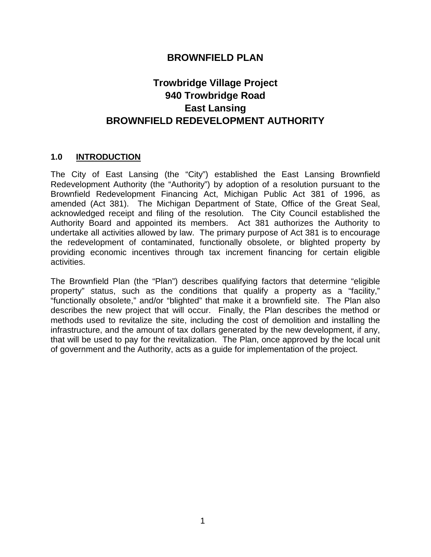### **BROWNFIELD PLAN**

## **Trowbridge Village Project 940 Trowbridge Road East Lansing BROWNFIELD REDEVELOPMENT AUTHORITY**

#### <span id="page-4-0"></span>**1.0 INTRODUCTION**

The City of East Lansing (the "City") established the East Lansing Brownfield Redevelopment Authority (the "Authority") by adoption of a resolution pursuant to the Brownfield Redevelopment Financing Act, Michigan Public Act 381 of 1996, as amended (Act 381). The Michigan Department of State, Office of the Great Seal, acknowledged receipt and filing of the resolution. The City Council established the Authority Board and appointed its members. Act 381 authorizes the Authority to undertake all activities allowed by law. The primary purpose of Act 381 is to encourage the redevelopment of contaminated, functionally obsolete, or blighted property by providing economic incentives through tax increment financing for certain eligible activities.

The Brownfield Plan (the "Plan") describes qualifying factors that determine "eligible property" status, such as the conditions that qualify a property as a "facility," "functionally obsolete," and/or "blighted" that make it a brownfield site. The Plan also describes the new project that will occur. Finally, the Plan describes the method or methods used to revitalize the site, including the cost of demolition and installing the infrastructure, and the amount of tax dollars generated by the new development, if any, that will be used to pay for the revitalization. The Plan, once approved by the local unit of government and the Authority, acts as a guide for implementation of the project.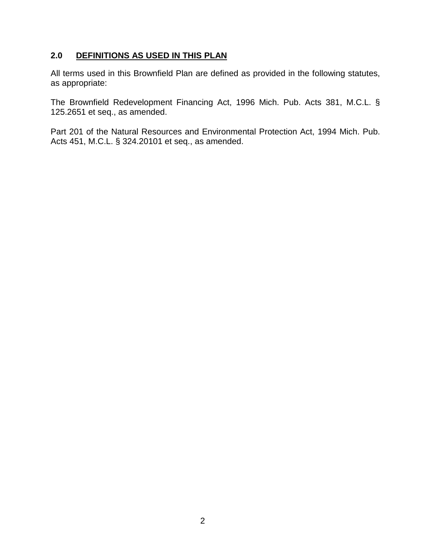#### <span id="page-5-0"></span>**2.0 DEFINITIONS AS USED IN THIS PLAN**

All terms used in this Brownfield Plan are defined as provided in the following statutes, as appropriate:

The Brownfield Redevelopment Financing Act, 1996 Mich. Pub. Acts 381, M.C.L. § 125.2651 et seq., as amended.

Part 201 of the Natural Resources and Environmental Protection Act, 1994 Mich. Pub. Acts 451, M.C.L. § 324.20101 et seq., as amended.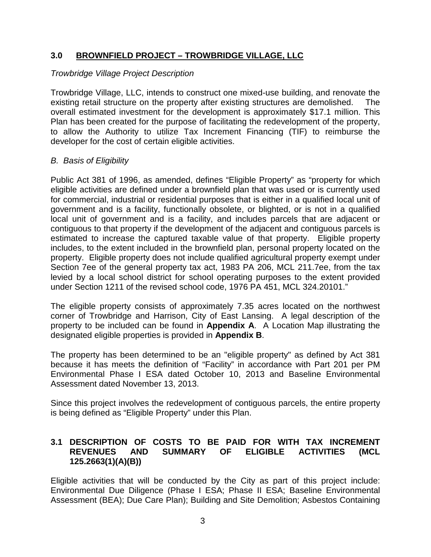#### <span id="page-6-0"></span>**3.0 BROWNFIELD PROJECT – TROWBRIDGE VILLAGE, LLC**

#### *Trowbridge Village Project Description*

Trowbridge Village, LLC, intends to construct one mixed-use building, and renovate the existing retail structure on the property after existing structures are demolished. The overall estimated investment for the development is approximately \$17.1 million. This Plan has been created for the purpose of facilitating the redevelopment of the property, to allow the Authority to utilize Tax Increment Financing (TIF) to reimburse the developer for the cost of certain eligible activities.

#### *B. Basis of Eligibility*

Public Act 381 of 1996, as amended, defines "Eligible Property" as "property for which eligible activities are defined under a brownfield plan that was used or is currently used for commercial, industrial or residential purposes that is either in a qualified local unit of government and is a facility, functionally obsolete, or blighted, or is not in a qualified local unit of government and is a facility, and includes parcels that are adjacent or contiguous to that property if the development of the adjacent and contiguous parcels is estimated to increase the captured taxable value of that property. Eligible property includes, to the extent included in the brownfield plan, personal property located on the property. Eligible property does not include qualified agricultural property exempt under Section 7ee of the general property tax act, 1983 PA 206, MCL 211.7ee, from the tax levied by a local school district for school operating purposes to the extent provided under Section 1211 of the revised school code, 1976 PA 451, MCL 324.20101."

The eligible property consists of approximately 7.35 acres located on the northwest corner of Trowbridge and Harrison, City of East Lansing. A legal description of the property to be included can be found in **Appendix A**. A Location Map illustrating the designated eligible properties is provided in **Appendix B**.

The property has been determined to be an "eligible property" as defined by Act 381 because it has meets the definition of "Facility" in accordance with Part 201 per PM Environmental Phase I ESA dated October 10, 2013 and Baseline Environmental Assessment dated November 13, 2013.

Since this project involves the redevelopment of contiguous parcels, the entire property is being defined as "Eligible Property" under this Plan.

#### <span id="page-6-1"></span>**3.1 DESCRIPTION OF COSTS TO BE PAID FOR WITH TAX INCREMENT REVENUES AND SUMMARY OF ELIGIBLE ACTIVITIES (MCL 125.2663(1)(A)(B))**

Eligible activities that will be conducted by the City as part of this project include: Environmental Due Diligence (Phase I ESA; Phase II ESA; Baseline Environmental Assessment (BEA); Due Care Plan); Building and Site Demolition; Asbestos Containing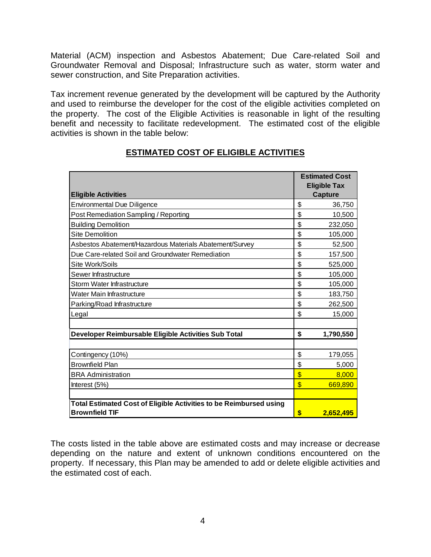Material (ACM) inspection and Asbestos Abatement; Due Care-related Soil and Groundwater Removal and Disposal; Infrastructure such as water, storm water and sewer construction, and Site Preparation activities.

Tax increment revenue generated by the development will be captured by the Authority and used to reimburse the developer for the cost of the eligible activities completed on the property. The cost of the Eligible Activities is reasonable in light of the resulting benefit and necessity to facilitate redevelopment. The estimated cost of the eligible activities is shown in the table below:

|                                                                    |                         | <b>Estimated Cost</b>                 |  |  |  |
|--------------------------------------------------------------------|-------------------------|---------------------------------------|--|--|--|
| <b>Eligible Activities</b>                                         |                         | <b>Eligible Tax</b><br><b>Capture</b> |  |  |  |
| <b>Environmental Due Diligence</b>                                 | \$                      | 36,750                                |  |  |  |
| Post Remediation Sampling / Reporting                              | \$                      | 10,500                                |  |  |  |
| <b>Building Demolition</b>                                         | \$                      | 232,050                               |  |  |  |
| Site Demolition                                                    | \$                      | 105,000                               |  |  |  |
| Asbestos Abatement/Hazardous Materials Abatement/Survey            | \$                      | 52,500                                |  |  |  |
| Due Care-related Soil and Groundwater Remediation                  | \$                      | 157,500                               |  |  |  |
| Site Work/Soils                                                    | \$                      | 525,000                               |  |  |  |
| Sewer Infrastructure                                               | \$                      | 105,000                               |  |  |  |
| Storm Water Infrastructure                                         | \$                      | 105,000                               |  |  |  |
| Water Main Infrastructure                                          | \$                      | 183,750                               |  |  |  |
| Parking/Road Infrastructure                                        | \$                      | 262,500                               |  |  |  |
| Legal                                                              | \$                      | 15,000                                |  |  |  |
|                                                                    |                         |                                       |  |  |  |
| Developer Reimbursable Eligible Activities Sub Total               | \$                      | 1,790,550                             |  |  |  |
|                                                                    |                         |                                       |  |  |  |
| Contingency (10%)                                                  | \$                      | 179,055                               |  |  |  |
| <b>Brownfield Plan</b>                                             | \$                      | 5,000                                 |  |  |  |
| <b>BRA Administration</b>                                          | $\overline{\mathbb{S}}$ | 8,000                                 |  |  |  |
| Interest (5%)                                                      | $\mathbf{\$}$           | 669,890                               |  |  |  |
|                                                                    |                         |                                       |  |  |  |
| Total Estimated Cost of Eligible Activities to be Reimbursed using |                         |                                       |  |  |  |
| <b>Brownfield TIF</b>                                              | \$                      | 2,652,495                             |  |  |  |

#### **ESTIMATED COST OF ELIGIBLE ACTIVITIES**

The costs listed in the table above are estimated costs and may increase or decrease depending on the nature and extent of unknown conditions encountered on the property. If necessary, this Plan may be amended to add or delete eligible activities and the estimated cost of each.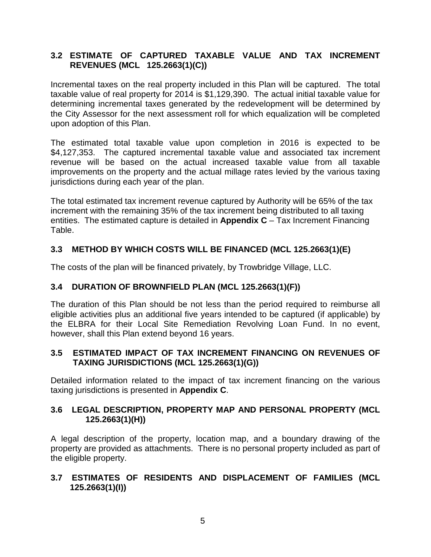#### <span id="page-8-0"></span>**3.2 ESTIMATE OF CAPTURED TAXABLE VALUE AND TAX INCREMENT REVENUES (MCL 125.2663(1)(C))**

Incremental taxes on the real property included in this Plan will be captured. The total taxable value of real property for 2014 is \$1,129,390. The actual initial taxable value for determining incremental taxes generated by the redevelopment will be determined by the City Assessor for the next assessment roll for which equalization will be completed upon adoption of this Plan.

The estimated total taxable value upon completion in 2016 is expected to be \$4,127,353. The captured incremental taxable value and associated tax increment revenue will be based on the actual increased taxable value from all taxable improvements on the property and the actual millage rates levied by the various taxing jurisdictions during each year of the plan.

The total estimated tax increment revenue captured by Authority will be 65% of the tax increment with the remaining 35% of the tax increment being distributed to all taxing entities. The estimated capture is detailed in **Appendix C** – Tax Increment Financing Table.

#### <span id="page-8-1"></span>**3.3 METHOD BY WHICH COSTS WILL BE FINANCED (MCL 125.2663(1)(E)**

The costs of the plan will be financed privately, by Trowbridge Village, LLC.

#### **3.4 DURATION OF BROWNFIELD PLAN (MCL 125.2663(1)(F))**

The duration of this Plan should be not less than the period required to reimburse all eligible activities plus an additional five years intended to be captured (if applicable) by the ELBRA for their Local Site Remediation Revolving Loan Fund. In no event, however, shall this Plan extend beyond 16 years.

#### <span id="page-8-2"></span>**3.5 ESTIMATED IMPACT OF TAX INCREMENT FINANCING ON REVENUES OF TAXING JURISDICTIONS (MCL 125.2663(1)(G))**

Detailed information related to the impact of tax increment financing on the various taxing jurisdictions is presented in **Appendix C**.

#### <span id="page-8-3"></span>**3.6 LEGAL DESCRIPTION, PROPERTY MAP AND PERSONAL PROPERTY (MCL 125.2663(1)(H))**

A legal description of the property, location map, and a boundary drawing of the property are provided as attachments. There is no personal property included as part of the eligible property.

#### <span id="page-8-4"></span>**3.7 ESTIMATES OF RESIDENTS AND DISPLACEMENT OF FAMILIES (MCL 125.2663(1)(I))**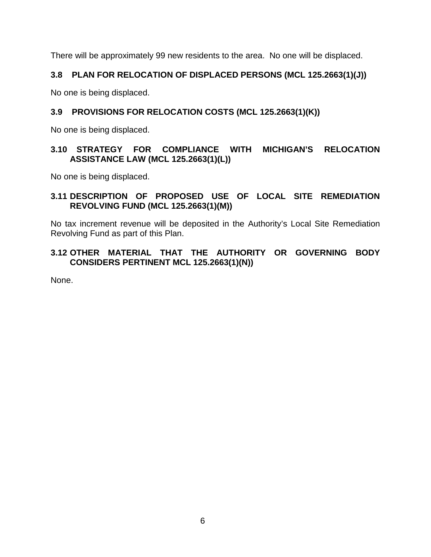There will be approximately 99 new residents to the area. No one will be displaced.

#### <span id="page-9-0"></span>**3.8 PLAN FOR RELOCATION OF DISPLACED PERSONS (MCL 125.2663(1)(J))**

No one is being displaced.

#### <span id="page-9-1"></span>**3.9 PROVISIONS FOR RELOCATION COSTS (MCL 125.2663(1)(K))**

No one is being displaced.

#### <span id="page-9-2"></span>**3.10 STRATEGY FOR COMPLIANCE WITH MICHIGAN'S RELOCATION ASSISTANCE LAW (MCL 125.2663(1)(L))**

No one is being displaced.

#### <span id="page-9-3"></span>**3.11 DESCRIPTION OF PROPOSED USE OF LOCAL SITE REMEDIATION REVOLVING FUND (MCL 125.2663(1)(M))**

No tax increment revenue will be deposited in the Authority's Local Site Remediation Revolving Fund as part of this Plan.

#### <span id="page-9-4"></span>**3.12 OTHER MATERIAL THAT THE AUTHORITY OR GOVERNING BODY CONSIDERS PERTINENT MCL 125.2663(1)(N))**

None.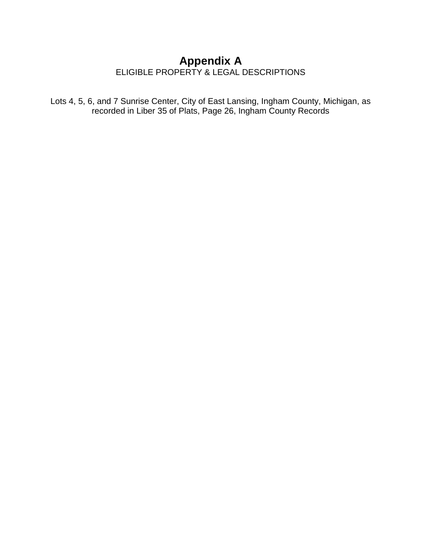## **Appendix A** ELIGIBLE PROPERTY & LEGAL DESCRIPTIONS

Lots 4, 5, 6, and 7 Sunrise Center, City of East Lansing, Ingham County, Michigan, as recorded in Liber 35 of Plats, Page 26, Ingham County Records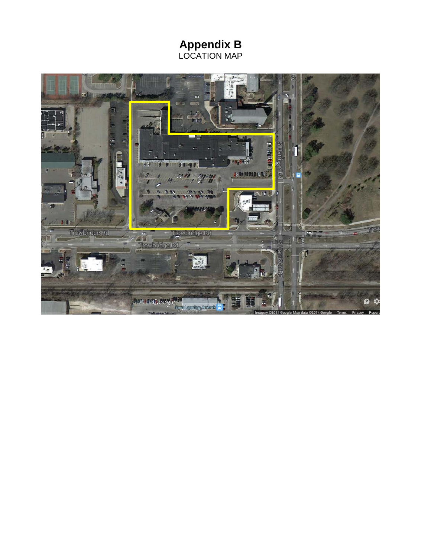**Appendix B** LOCATION MAP

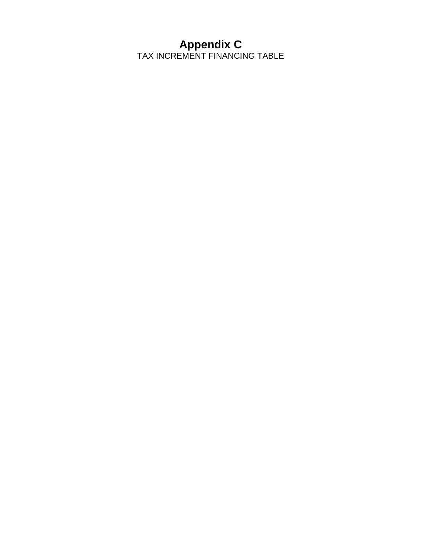# **Appendix C**

TAX INCREMENT FINANCING TABLE